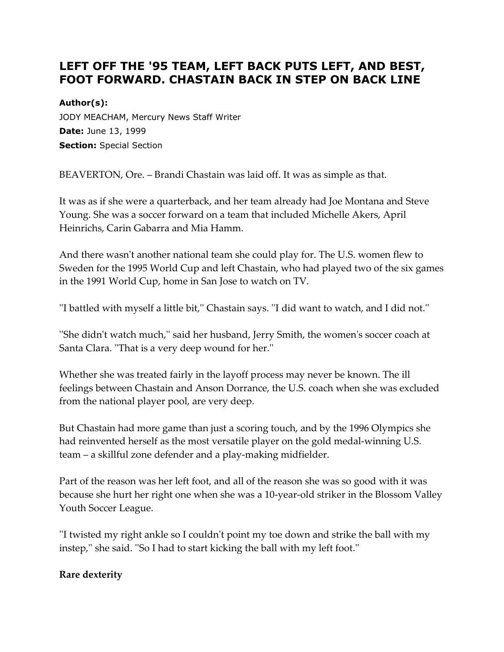## **LEFT OFF THE '95 TEAM, LEFT BACK PUTS LEFT, AND BEST, FOOT FORWARD. CHASTAIN BACK IN STEP ON BACK LINE**

## **Author(s):**

JODY MEACHAM, Mercury News Staff Writer **Date:** June 13, 1999 **Section:** Special Section

BEAVERTON, Ore. – Brandi Chastain was laid off. It was as simple as that.

It was as if she were a quarterback, and her team already had Joe Montana and Steve Young. She was a soccer forward on a team that included Michelle Akers, April Heinrichs, Carin Gabarra and Mia Hamm.

And there wasn't another national team she could play for. The U.S. women flew to Sweden for the 1995 World Cup and left Chastain, who had played two of the six games in the 1991 World Cup, home in San Jose to watch on TV.

''I battled with myself a little bit,'' Chastain says. ''I did want to watch, and I did not.''

''She didn't watch much,'' said her husband, Jerry Smith, the women's soccer coach at Santa Clara. ''That is a very deep wound for her.''

Whether she was treated fairly in the layoff process may never be known. The ill feelings between Chastain and Anson Dorrance, the U.S. coach when she was excluded from the national player pool, are very deep.

But Chastain had more game than just a scoring touch, and by the 1996 Olympics she had reinvented herself as the most versatile player on the gold medal-winning U.S. team – a skillful zone defender and a play-making midfielder.

Part of the reason was her left foot, and all of the reason she was so good with it was because she hurt her right one when she was a 10-year-old striker in the Blossom Valley Youth Soccer League.

''I twisted my right ankle so I couldn't point my toe down and strike the ball with my instep,'' she said. ''So I had to start kicking the ball with my left foot.''

## **Rare dexterity**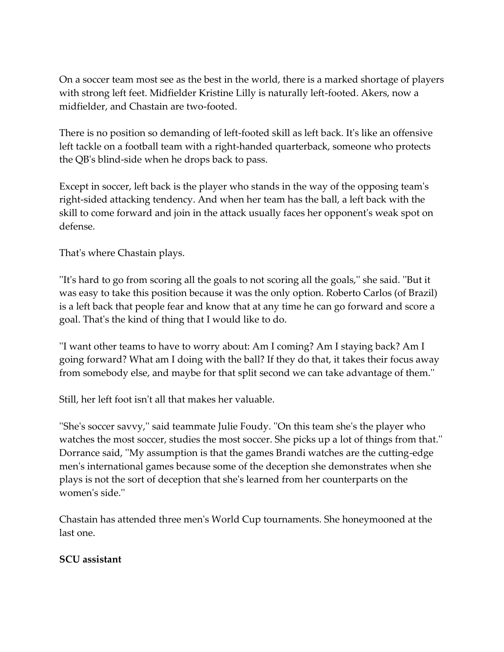On a soccer team most see as the best in the world, there is a marked shortage of players with strong left feet. Midfielder Kristine Lilly is naturally left-footed. Akers, now a midfielder, and Chastain are two-footed.

There is no position so demanding of left-footed skill as left back. It's like an offensive left tackle on a football team with a right-handed quarterback, someone who protects the QB's blind-side when he drops back to pass.

Except in soccer, left back is the player who stands in the way of the opposing team's right-sided attacking tendency. And when her team has the ball, a left back with the skill to come forward and join in the attack usually faces her opponent's weak spot on defense.

That's where Chastain plays.

''It's hard to go from scoring all the goals to not scoring all the goals,'' she said. ''But it was easy to take this position because it was the only option. Roberto Carlos (of Brazil) is a left back that people fear and know that at any time he can go forward and score a goal. That's the kind of thing that I would like to do.

''I want other teams to have to worry about: Am I coming? Am I staying back? Am I going forward? What am I doing with the ball? If they do that, it takes their focus away from somebody else, and maybe for that split second we can take advantage of them.''

Still, her left foot isn't all that makes her valuable.

''She's soccer savvy,'' said teammate Julie Foudy. ''On this team she's the player who watches the most soccer, studies the most soccer. She picks up a lot of things from that.'' Dorrance said, ''My assumption is that the games Brandi watches are the cutting-edge men's international games because some of the deception she demonstrates when she plays is not the sort of deception that she's learned from her counterparts on the women's side.''

Chastain has attended three men's World Cup tournaments. She honeymooned at the last one.

## **SCU assistant**